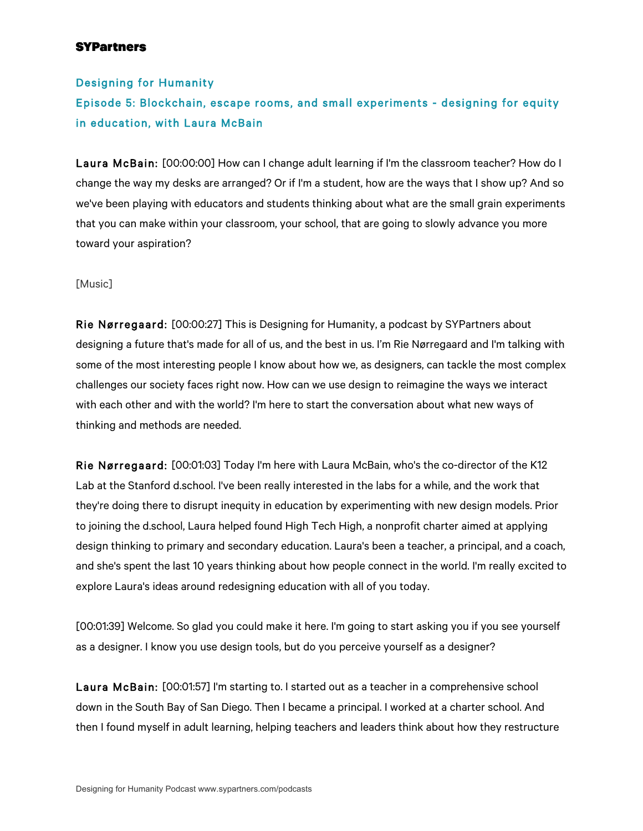## Designing for Humanity

# Episode 5: Blockchain, escape rooms, and small experiments - designing for equity in education, with Laura McBain

Laura McBain: [00:00:00] How can I change adult learning if I'm the classroom teacher? How do I change the way my desks are arranged? Or if I'm a student, how are the ways that I show up? And so we've been playing with educators and students thinking about what are the small grain experiments that you can make within your classroom, your school, that are going to slowly advance you more toward your aspiration?

#### [Music]

Rie Nørregaard: [00:00:27] This is Designing for Humanity, a podcast by SYPartners about designing a future that's made for all of us, and the best in us. I'm Rie Nørregaard and I'm talking with some of the most interesting people I know about how we, as designers, can tackle the most complex challenges our society faces right now. How can we use design to reimagine the ways we interact with each other and with the world? I'm here to start the conversation about what new ways of thinking and methods are needed.

Rie Nørregaard: [00:01:03] Today I'm here with Laura McBain, who's the co-director of the K12 Lab at the Stanford d.school. I've been really interested in the labs for a while, and the work that they're doing there to disrupt inequity in education by experimenting with new design models. Prior to joining the d.school, Laura helped found High Tech High, a nonprofit charter aimed at applying design thinking to primary and secondary education. Laura's been a teacher, a principal, and a coach, and she's spent the last 10 years thinking about how people connect in the world. I'm really excited to explore Laura's ideas around redesigning education with all of you today.

[00:01:39] Welcome. So glad you could make it here. I'm going to start asking you if you see yourself as a designer. I know you use design tools, but do you perceive yourself as a designer?

Laura McBain: [00:01:57] I'm starting to. I started out as a teacher in a comprehensive school down in the South Bay of San Diego. Then I became a principal. I worked at a charter school. And then I found myself in adult learning, helping teachers and leaders think about how they restructure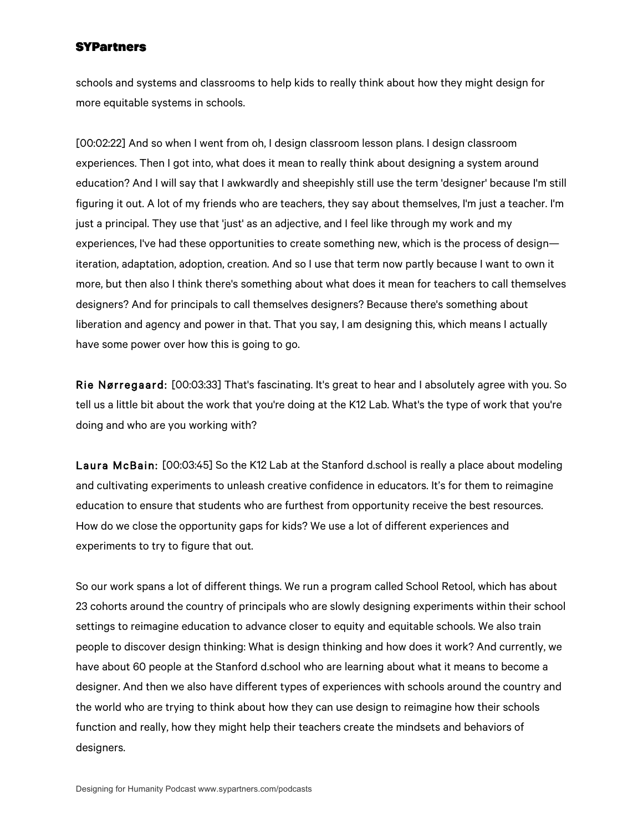schools and systems and classrooms to help kids to really think about how they might design for more equitable systems in schools.

[00:02:22] And so when I went from oh, I design classroom lesson plans. I design classroom experiences. Then I got into, what does it mean to really think about designing a system around education? And I will say that I awkwardly and sheepishly still use the term 'designer' because I'm still figuring it out. A lot of my friends who are teachers, they say about themselves, I'm just a teacher. I'm just a principal. They use that 'just' as an adjective, and I feel like through my work and my experiences, I've had these opportunities to create something new, which is the process of design iteration, adaptation, adoption, creation. And so I use that term now partly because I want to own it more, but then also I think there's something about what does it mean for teachers to call themselves designers? And for principals to call themselves designers? Because there's something about liberation and agency and power in that. That you say, I am designing this, which means I actually have some power over how this is going to go.

Rie Nørregaard: [00:03:33] That's fascinating. It's great to hear and I absolutely agree with you. So tell us a little bit about the work that you're doing at the K12 Lab. What's the type of work that you're doing and who are you working with?

Laura McBain: [00:03:45] So the K12 Lab at the Stanford d.school is really a place about modeling and cultivating experiments to unleash creative confidence in educators. It's for them to reimagine education to ensure that students who are furthest from opportunity receive the best resources. How do we close the opportunity gaps for kids? We use a lot of different experiences and experiments to try to figure that out.

So our work spans a lot of different things. We run a program called School Retool, which has about 23 cohorts around the country of principals who are slowly designing experiments within their school settings to reimagine education to advance closer to equity and equitable schools. We also train people to discover design thinking: What is design thinking and how does it work? And currently, we have about 60 people at the Stanford d.school who are learning about what it means to become a designer. And then we also have different types of experiences with schools around the country and the world who are trying to think about how they can use design to reimagine how their schools function and really, how they might help their teachers create the mindsets and behaviors of designers.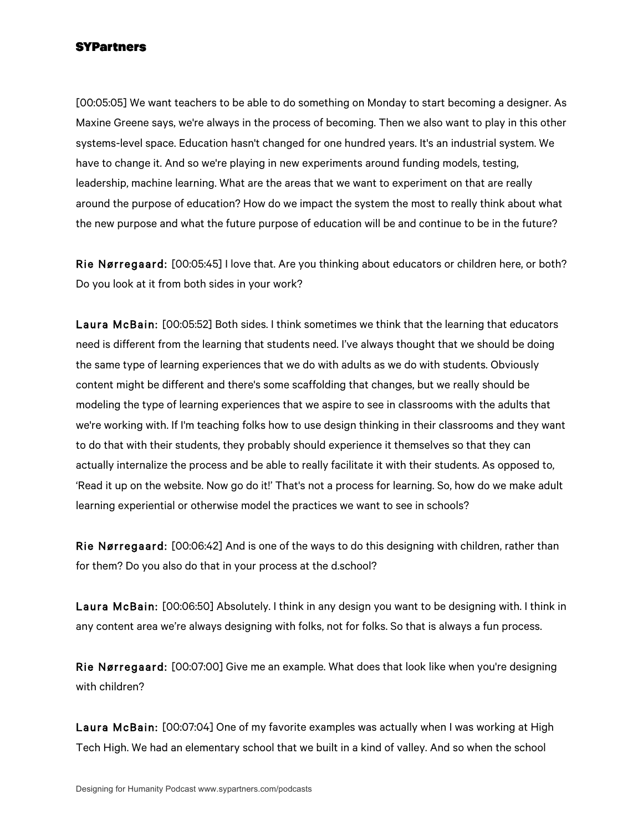[00:05:05] We want teachers to be able to do something on Monday to start becoming a designer. As Maxine Greene says, we're always in the process of becoming. Then we also want to play in this other systems-level space. Education hasn't changed for one hundred years. It's an industrial system. We have to change it. And so we're playing in new experiments around funding models, testing, leadership, machine learning. What are the areas that we want to experiment on that are really around the purpose of education? How do we impact the system the most to really think about what the new purpose and what the future purpose of education will be and continue to be in the future?

Rie Nørregaard: [00:05:45] I love that. Are you thinking about educators or children here, or both? Do you look at it from both sides in your work?

Laura McBain: [00:05:52] Both sides. I think sometimes we think that the learning that educators need is different from the learning that students need. I've always thought that we should be doing the same type of learning experiences that we do with adults as we do with students. Obviously content might be different and there's some scaffolding that changes, but we really should be modeling the type of learning experiences that we aspire to see in classrooms with the adults that we're working with. If I'm teaching folks how to use design thinking in their classrooms and they want to do that with their students, they probably should experience it themselves so that they can actually internalize the process and be able to really facilitate it with their students. As opposed to, 'Read it up on the website. Now go do it!' That's not a process for learning. So, how do we make adult learning experiential or otherwise model the practices we want to see in schools?

Rie Nørregaard: [00:06:42] And is one of the ways to do this designing with children, rather than for them? Do you also do that in your process at the d.school?

Laura McBain: [00:06:50] Absolutely. I think in any design you want to be designing with. I think in any content area we're always designing with folks, not for folks. So that is always a fun process.

Rie Nørregaard: [00:07:00] Give me an example. What does that look like when you're designing with children?

Laura McBain: [00:07:04] One of my favorite examples was actually when I was working at High Tech High. We had an elementary school that we built in a kind of valley. And so when the school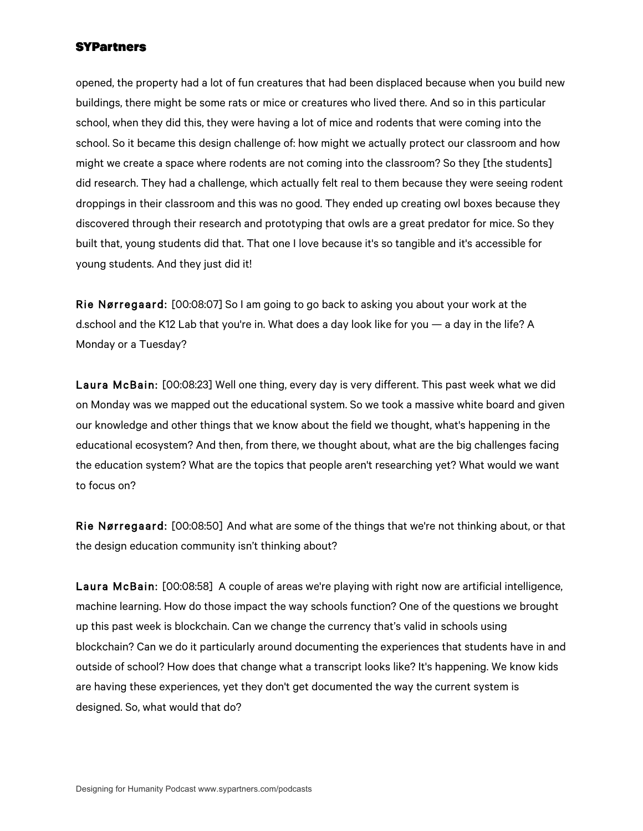opened, the property had a lot of fun creatures that had been displaced because when you build new buildings, there might be some rats or mice or creatures who lived there. And so in this particular school, when they did this, they were having a lot of mice and rodents that were coming into the school. So it became this design challenge of: how might we actually protect our classroom and how might we create a space where rodents are not coming into the classroom? So they [the students] did research. They had a challenge, which actually felt real to them because they were seeing rodent droppings in their classroom and this was no good. They ended up creating owl boxes because they discovered through their research and prototyping that owls are a great predator for mice. So they built that, young students did that. That one I love because it's so tangible and it's accessible for young students. And they just did it!

Rie Nørregaard: [00:08:07] So I am going to go back to asking you about your work at the d.school and the K12 Lab that you're in. What does a day look like for you — a day in the life? A Monday or a Tuesday?

Laura McBain: [00:08:23] Well one thing, every day is very different. This past week what we did on Monday was we mapped out the educational system. So we took a massive white board and given our knowledge and other things that we know about the field we thought, what's happening in the educational ecosystem? And then, from there, we thought about, what are the big challenges facing the education system? What are the topics that people aren't researching yet? What would we want to focus on?

Rie Nørregaard: [00:08:50] And what are some of the things that we're not thinking about, or that the design education community isn't thinking about?

Laura McBain: [00:08:58] A couple of areas we're playing with right now are artificial intelligence, machine learning. How do those impact the way schools function? One of the questions we brought up this past week is blockchain. Can we change the currency that's valid in schools using blockchain? Can we do it particularly around documenting the experiences that students have in and outside of school? How does that change what a transcript looks like? It's happening. We know kids are having these experiences, yet they don't get documented the way the current system is designed. So, what would that do?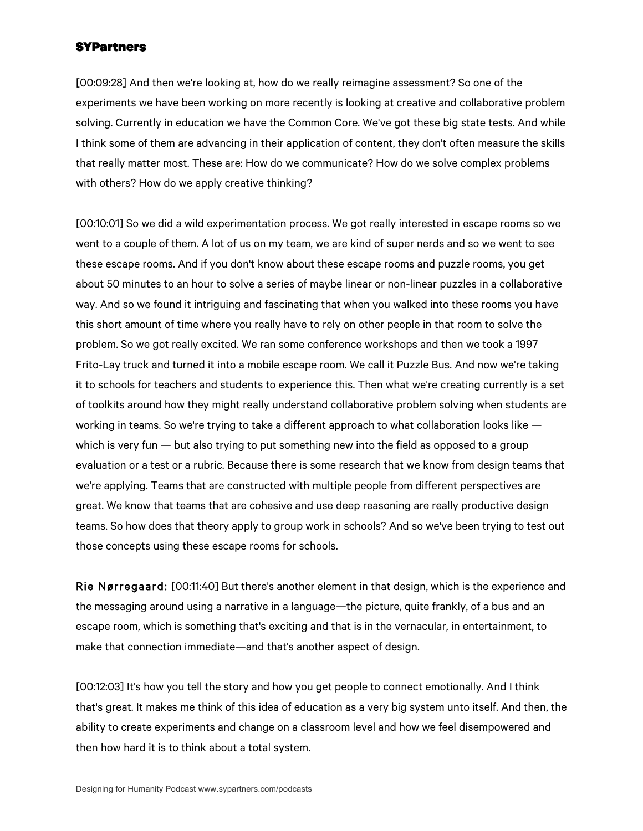[00:09:28] And then we're looking at, how do we really reimagine assessment? So one of the experiments we have been working on more recently is looking at creative and collaborative problem solving. Currently in education we have the Common Core. We've got these big state tests. And while I think some of them are advancing in their application of content, they don't often measure the skills that really matter most. These are: How do we communicate? How do we solve complex problems with others? How do we apply creative thinking?

[00:10:01] So we did a wild experimentation process. We got really interested in escape rooms so we went to a couple of them. A lot of us on my team, we are kind of super nerds and so we went to see these escape rooms. And if you don't know about these escape rooms and puzzle rooms, you get about 50 minutes to an hour to solve a series of maybe linear or non-linear puzzles in a collaborative way. And so we found it intriguing and fascinating that when you walked into these rooms you have this short amount of time where you really have to rely on other people in that room to solve the problem. So we got really excited. We ran some conference workshops and then we took a 1997 Frito-Lay truck and turned it into a mobile escape room. We call it Puzzle Bus. And now we're taking it to schools for teachers and students to experience this. Then what we're creating currently is a set of toolkits around how they might really understand collaborative problem solving when students are working in teams. So we're trying to take a different approach to what collaboration looks like which is very fun — but also trying to put something new into the field as opposed to a group evaluation or a test or a rubric. Because there is some research that we know from design teams that we're applying. Teams that are constructed with multiple people from different perspectives are great. We know that teams that are cohesive and use deep reasoning are really productive design teams. So how does that theory apply to group work in schools? And so we've been trying to test out those concepts using these escape rooms for schools.

Rie Nørregaard: [00:11:40] But there's another element in that design, which is the experience and the messaging around using a narrative in a language—the picture, quite frankly, of a bus and an escape room, which is something that's exciting and that is in the vernacular, in entertainment, to make that connection immediate—and that's another aspect of design.

[00:12:03] It's how you tell the story and how you get people to connect emotionally. And I think that's great. It makes me think of this idea of education as a very big system unto itself. And then, the ability to create experiments and change on a classroom level and how we feel disempowered and then how hard it is to think about a total system.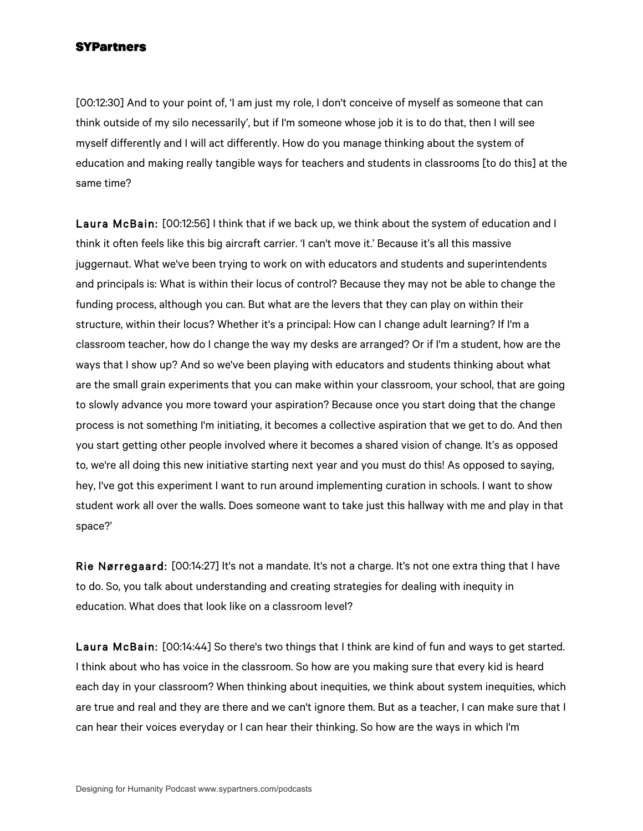[00:12:30] And to your point of, 'I am just my role, I don't conceive of myself as someone that can think outside of my silo necessarily', but if I'm someone whose job it is to do that, then I will see myself differently and I will act differently. How do you manage thinking about the system of education and making really tangible ways for teachers and students in classrooms [to do this] at the same time?

Laura McBain: [00:12:56] I think that if we back up, we think about the system of education and I think it often feels like this big aircraft carrier. 'I can't move it.' Because it's all this massive juggernaut. What we've been trying to work on with educators and students and superintendents and principals is: What is within their locus of control? Because they may not be able to change the funding process, although you can. But what are the levers that they can play on within their structure, within their locus? Whether it's a principal: How can I change adult learning? If I'm a classroom teacher, how do I change the way my desks are arranged? Or if I'm a student, how are the ways that I show up? And so we've been playing with educators and students thinking about what are the small grain experiments that you can make within your classroom, your school, that are going to slowly advance you more toward your aspiration? Because once you start doing that the change process is not something I'm initiating, it becomes a collective aspiration that we get to do. And then you start getting other people involved where it becomes a shared vision of change. It's as opposed to, we're all doing this new initiative starting next year and you must do this! As opposed to saying, hey, I've got this experiment I want to run around implementing curation in schools. I want to show student work all over the walls. Does someone want to take just this hallway with me and play in that space?'

Rie Nørregaard: [00:14:27] It's not a mandate. It's not a charge. It's not one extra thing that I have to do. So, you talk about understanding and creating strategies for dealing with inequity in education. What does that look like on a classroom level?

Laura McBain: [00:14:44] So there's two things that I think are kind of fun and ways to get started. I think about who has voice in the classroom. So how are you making sure that every kid is heard each day in your classroom? When thinking about inequities, we think about system inequities, which are true and real and they are there and we can't ignore them. But as a teacher, I can make sure that I can hear their voices everyday or I can hear their thinking. So how are the ways in which I'm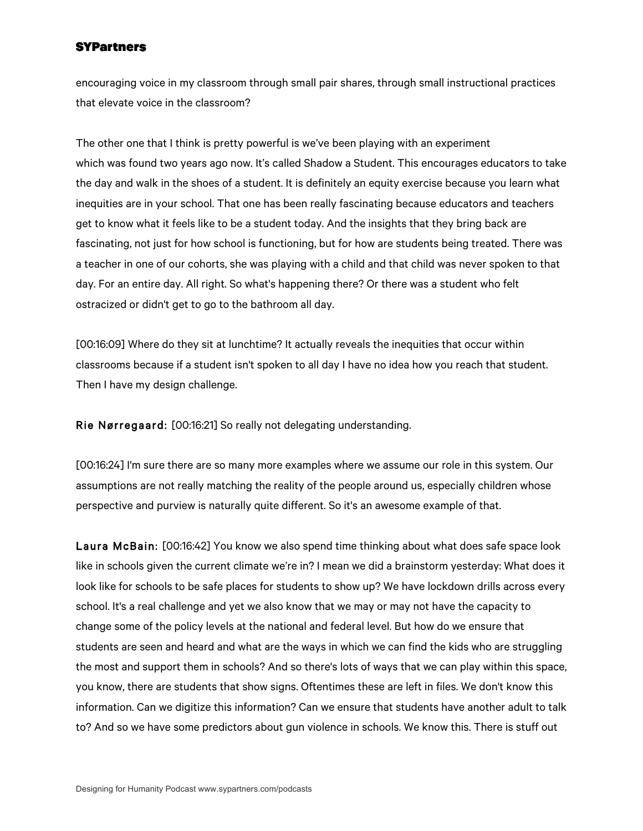encouraging voice in my classroom through small pair shares, through small instructional practices that elevate voice in the classroom?

The other one that I think is pretty powerful is we've been playing with an experiment which was found two years ago now. It's called Shadow a Student. This encourages educators to take the day and walk in the shoes of a student. It is definitely an equity exercise because you learn what inequities are in your school. That one has been really fascinating because educators and teachers get to know what it feels like to be a student today. And the insights that they bring back are fascinating, not just for how school is functioning, but for how are students being treated. There was a teacher in one of our cohorts, she was playing with a child and that child was never spoken to that day. For an entire day. All right. So what's happening there? Or there was a student who felt ostracized or didn't get to go to the bathroom all day.

[00:16:09] Where do they sit at lunchtime? It actually reveals the inequities that occur within classrooms because if a student isn't spoken to all day I have no idea how you reach that student. Then I have my design challenge.

Rie Nørregaard: [00:16:21] So really not delegating understanding.

[00:16:24] I'm sure there are so many more examples where we assume our role in this system. Our assumptions are not really matching the reality of the people around us, especially children whose perspective and purview is naturally quite different. So it's an awesome example of that.

Laura McBain: [00:16:42] You know we also spend time thinking about what does safe space look like in schools given the current climate we're in? I mean we did a brainstorm yesterday: What does it look like for schools to be safe places for students to show up? We have lockdown drills across every school. It's a real challenge and yet we also know that we may or may not have the capacity to change some of the policy levels at the national and federal level. But how do we ensure that students are seen and heard and what are the ways in which we can find the kids who are struggling the most and support them in schools? And so there's lots of ways that we can play within this space, you know, there are students that show signs. Oftentimes these are left in files. We don't know this information. Can we digitize this information? Can we ensure that students have another adult to talk to? And so we have some predictors about gun violence in schools. We know this. There is stuff out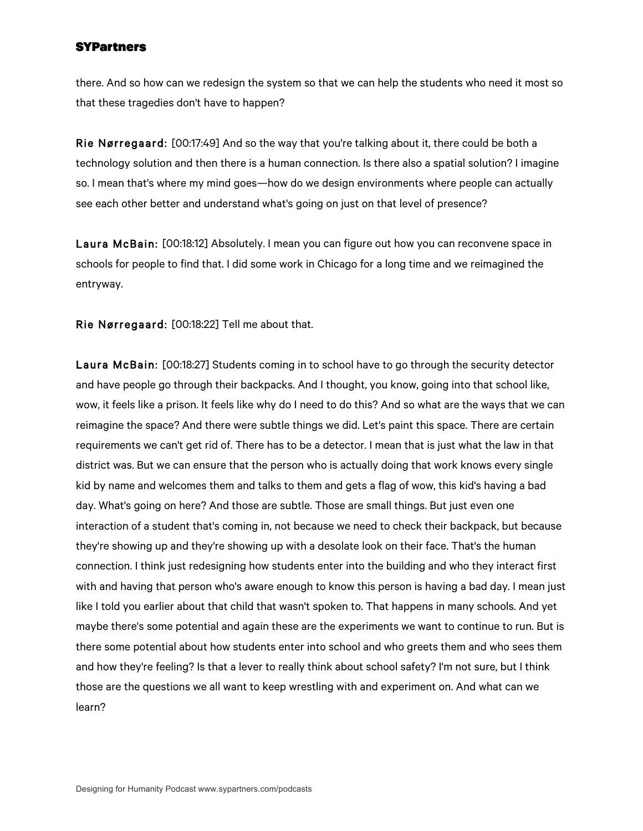there. And so how can we redesign the system so that we can help the students who need it most so that these tragedies don't have to happen?

Rie Nørregaard: [00:17:49] And so the way that you're talking about it, there could be both a technology solution and then there is a human connection. Is there also a spatial solution? I imagine so. I mean that's where my mind goes—how do we design environments where people can actually see each other better and understand what's going on just on that level of presence?

Laura McBain: [00:18:12] Absolutely. I mean you can figure out how you can reconvene space in schools for people to find that. I did some work in Chicago for a long time and we reimagined the entryway.

Rie Nørregaard: [00:18:22] Tell me about that.

Laura McBain: [00:18:27] Students coming in to school have to go through the security detector and have people go through their backpacks. And I thought, you know, going into that school like, wow, it feels like a prison. It feels like why do I need to do this? And so what are the ways that we can reimagine the space? And there were subtle things we did. Let's paint this space. There are certain requirements we can't get rid of. There has to be a detector. I mean that is just what the law in that district was. But we can ensure that the person who is actually doing that work knows every single kid by name and welcomes them and talks to them and gets a flag of wow, this kid's having a bad day. What's going on here? And those are subtle. Those are small things. But just even one interaction of a student that's coming in, not because we need to check their backpack, but because they're showing up and they're showing up with a desolate look on their face. That's the human connection. I think just redesigning how students enter into the building and who they interact first with and having that person who's aware enough to know this person is having a bad day. I mean just like I told you earlier about that child that wasn't spoken to. That happens in many schools. And yet maybe there's some potential and again these are the experiments we want to continue to run. But is there some potential about how students enter into school and who greets them and who sees them and how they're feeling? Is that a lever to really think about school safety? I'm not sure, but I think those are the questions we all want to keep wrestling with and experiment on. And what can we learn?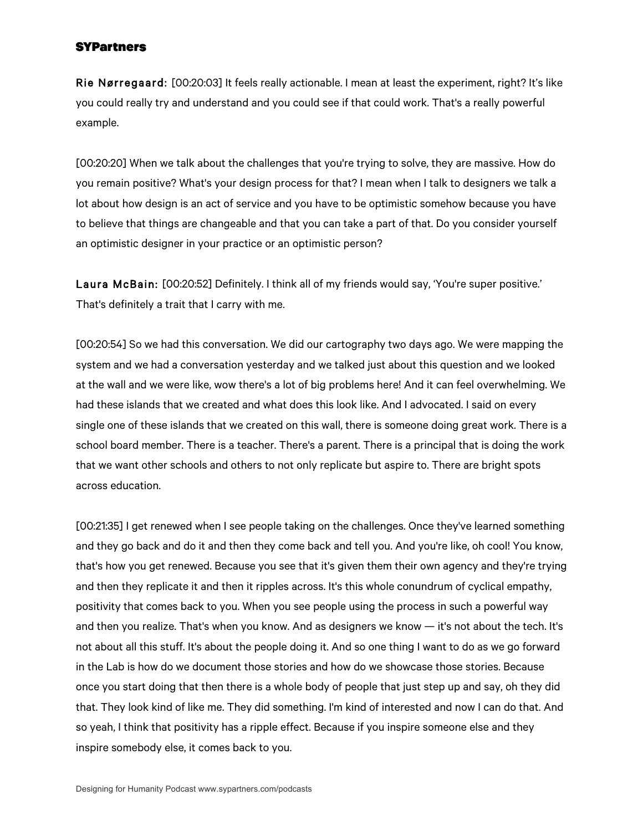Rie Nørregaard: [00:20:03] It feels really actionable. I mean at least the experiment, right? It's like you could really try and understand and you could see if that could work. That's a really powerful example.

[00:20:20] When we talk about the challenges that you're trying to solve, they are massive. How do you remain positive? What's your design process for that? I mean when I talk to designers we talk a lot about how design is an act of service and you have to be optimistic somehow because you have to believe that things are changeable and that you can take a part of that. Do you consider yourself an optimistic designer in your practice or an optimistic person?

Laura McBain: [00:20:52] Definitely. I think all of my friends would say, 'You're super positive.' That's definitely a trait that I carry with me.

[00:20:54] So we had this conversation. We did our cartography two days ago. We were mapping the system and we had a conversation yesterday and we talked just about this question and we looked at the wall and we were like, wow there's a lot of big problems here! And it can feel overwhelming. We had these islands that we created and what does this look like. And I advocated. I said on every single one of these islands that we created on this wall, there is someone doing great work. There is a school board member. There is a teacher. There's a parent. There is a principal that is doing the work that we want other schools and others to not only replicate but aspire to. There are bright spots across education.

[00:21:35] I get renewed when I see people taking on the challenges. Once they've learned something and they go back and do it and then they come back and tell you. And you're like, oh cool! You know, that's how you get renewed. Because you see that it's given them their own agency and they're trying and then they replicate it and then it ripples across. It's this whole conundrum of cyclical empathy, positivity that comes back to you. When you see people using the process in such a powerful way and then you realize. That's when you know. And as designers we know — it's not about the tech. It's not about all this stuff. It's about the people doing it. And so one thing I want to do as we go forward in the Lab is how do we document those stories and how do we showcase those stories. Because once you start doing that then there is a whole body of people that just step up and say, oh they did that. They look kind of like me. They did something. I'm kind of interested and now I can do that. And so yeah, I think that positivity has a ripple effect. Because if you inspire someone else and they inspire somebody else, it comes back to you.